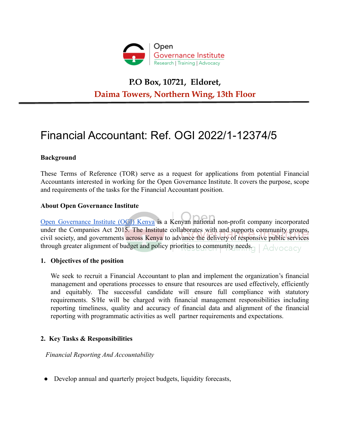

## **P.O Box, 10721, Eldoret, Daima Towers, Northern Wing, 13th Floor**

# Financial Accountant: Ref. OGI 2022/1-12374/5

## **Background**

These Terms of Reference (TOR) serve as a request for applications from potential Financial Accountants interested in working for the Open Governance Institute. It covers the purpose, scope and requirements of the tasks for the Financial Accountant position.

#### **About Open Governance Institute**

Open [Governance](https://opengovinstitute.org/) Institute (OGI) Kenya is a Kenyan national non-profit company incorporated under the Companies Act 2015. The Institute collaborates with and supports community groups, civil society, and governments across Kenya to advance the delivery of responsive public services through greater alignment of budget and policy priorities to community needs. Advocacy

#### **1. Objectives of the position**

We seek to recruit a Financial Accountant to plan and implement the organization's financial management and operations processes to ensure that resources are used effectively, efficiently and equitably. The successful candidate will ensure full compliance with statutory requirements. S/He will be charged with financial management responsibilities including reporting timeliness, quality and accuracy of financial data and alignment of the financial reporting with programmatic activities as well partner requirements and expectations.

#### **2. Key Tasks & Responsibilities**

*Financial Reporting And Accountability*

• Develop annual and quarterly project budgets, liquidity forecasts,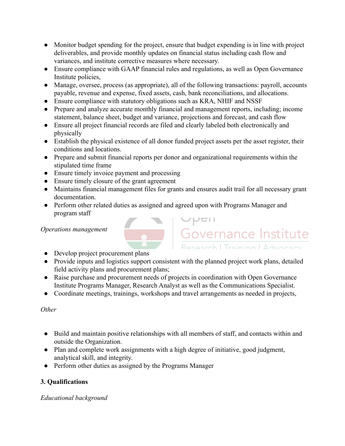- Monitor budget spending for the project, ensure that budget expending is in line with project deliverables, and provide monthly updates on financial status including cash flow and variances, and institute corrective measures where necessary.
- Ensure compliance with GAAP financial rules and regulations, as well as Open Governance Institute policies,
- Manage, oversee, process (as appropriate), all of the following transactions: payroll, accounts payable, revenue and expense, fixed assets, cash, bank reconciliations, and allocations.
- Ensure compliance with statutory obligations such as KRA, NHIF and NSSF
- Prepare and analyze accurate monthly financial and management reports, including; income statement, balance sheet, budget and variance, projections and forecast, and cash flow
- Ensure all project financial records are filed and clearly labeled both electronically and physically
- Establish the physical existence of all donor funded project assets per the asset register, their conditions and locations.
- Prepare and submit financial reports per donor and organizational requirements within the stipulated time frame
- Ensure timely invoice payment and processing
- Ensure timely closure of the grant agreement
- Maintains financial management files for grants and ensures audit trail for all necessary grant documentation.
- Perform other related duties as assigned and agreed upon with Programs Manager and program staff Governance Institute

## *Operations management*

- Develop project procurement plans
- Provide inputs and logistics support consistent with the planned project work plans, detailed field activity plans and procurement plans;
- Raise purchase and procurement needs of projects in coordination with Open Governance Institute Programs Manager, Research Analyst as well as the Communications Specialist.
- Coordinate meetings, trainings, workshops and travel arrangements as needed in projects,

## *Other*

- Build and maintain positive relationships with all members of staff, and contacts within and outside the Organization.
- Plan and complete work assignments with a high degree of initiative, good judgment, analytical skill, and integrity.
- Perform other duties as assigned by the Programs Manager

## **3. Qualifications**

## *Educational background*